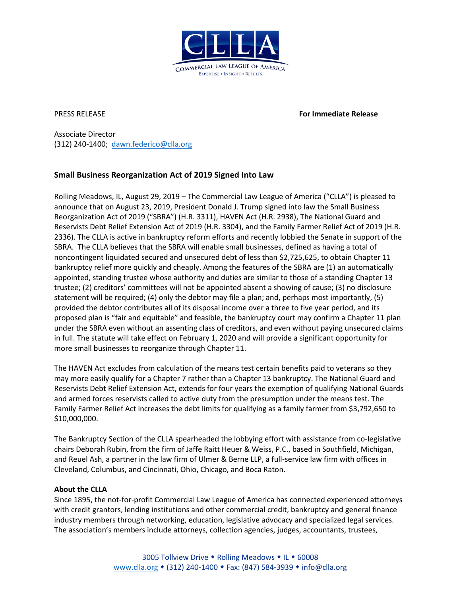

PRESS RELEASE **For Immediate Release**

Associate Director (312) 240-1400; [dawn.federico@clla.org](mailto:dawn.federico@clla.org)

## **Small Business Reorganization Act of 2019 Signed Into Law**

Rolling Meadows, IL, August 29, 2019 – The Commercial Law League of America ("CLLA") is pleased to announce that on August 23, 2019, President Donald J. Trump signed into law the Small Business Reorganization Act of 2019 ("SBRA") (H.R. 3311), HAVEN Act (H.R. 2938), The National Guard and Reservists Debt Relief Extension Act of 2019 (H.R. 3304), and the Family Farmer Relief Act of 2019 (H.R. 2336). The CLLA is active in bankruptcy reform efforts and recently lobbied the Senate in support of the SBRA. The CLLA believes that the SBRA will enable small businesses, defined as having a total of noncontingent liquidated secured and unsecured debt of less than \$2,725,625, to obtain Chapter 11 bankruptcy relief more quickly and cheaply. Among the features of the SBRA are (1) an automatically appointed, standing trustee whose authority and duties are similar to those of a standing Chapter 13 trustee; (2) creditors' committees will not be appointed absent a showing of cause; (3) no disclosure statement will be required; (4) only the debtor may file a plan; and, perhaps most importantly, (5) provided the debtor contributes all of its disposal income over a three to five year period, and its proposed plan is "fair and equitable" and feasible, the bankruptcy court may confirm a Chapter 11 plan under the SBRA even without an assenting class of creditors, and even without paying unsecured claims in full. The statute will take effect on February 1, 2020 and will provide a significant opportunity for more small businesses to reorganize through Chapter 11.

The HAVEN Act excludes from calculation of the means test certain benefits paid to veterans so they may more easily qualify for a Chapter 7 rather than a Chapter 13 bankruptcy. The National Guard and Reservists Debt Relief Extension Act, extends for four years the exemption of qualifying National Guards and armed forces reservists called to active duty from the presumption under the means test. The Family Farmer Relief Act increases the debt limits for qualifying as a family farmer from \$3,792,650 to \$10,000,000.

The Bankruptcy Section of the CLLA spearheaded the lobbying effort with assistance from co-legislative chairs Deborah Rubin, from the firm of Jaffe Raitt Heuer & Weiss, P.C., based in Southfield, Michigan, and Reuel Ash, a partner in the law firm of Ulmer & Berne LLP, a full-service law firm with offices in Cleveland, Columbus, and Cincinnati, Ohio, Chicago, and Boca Raton.

## **About the CLLA**

Since 1895, the not-for-profit Commercial Law League of America has connected experienced attorneys with credit grantors, lending institutions and other commercial credit, bankruptcy and general finance industry members through networking, education, legislative advocacy and specialized legal services. The association's members include attorneys, collection agencies, judges, accountants, trustees,